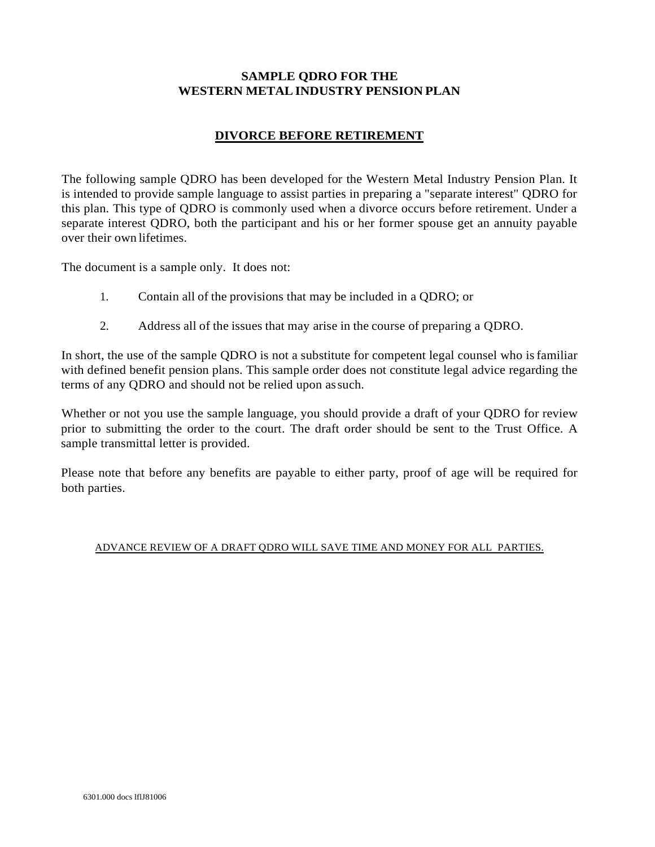## **SAMPLE QDRO FOR THE WESTERN METALINDUSTRY PENSION PLAN**

# **DIVORCE BEFORE RETIREMENT**

The following sample QDRO has been developed for the Western Metal Industry Pension Plan. It is intended to provide sample language to assist parties in preparing a "separate interest" QDRO for this plan. This type of QDRO is commonly used when a divorce occurs before retirement. Under a separate interest QDRO, both the participant and his or her former spouse get an annuity payable over their own lifetimes.

The document is a sample only. It does not:

- 1. Contain all of the provisions that may be included in a QDRO; or
- 2. Address all of the issues that may arise in the course of preparing a QDRO.

In short, the use of the sample QDRO is not a substitute for competent legal counsel who isfamiliar with defined benefit pension plans. This sample order does not constitute legal advice regarding the terms of any QDRO and should not be relied upon assuch.

Whether or not you use the sample language, you should provide a draft of your QDRO for review prior to submitting the order to the court. The draft order should be sent to the Trust Office. A sample transmittal letter is provided.

Please note that before any benefits are payable to either party, proof of age will be required for both parties.

## ADVANCE REVIEW OF A DRAFT QDRO WILL SAVE TIME AND MONEY FOR ALL PARTIES.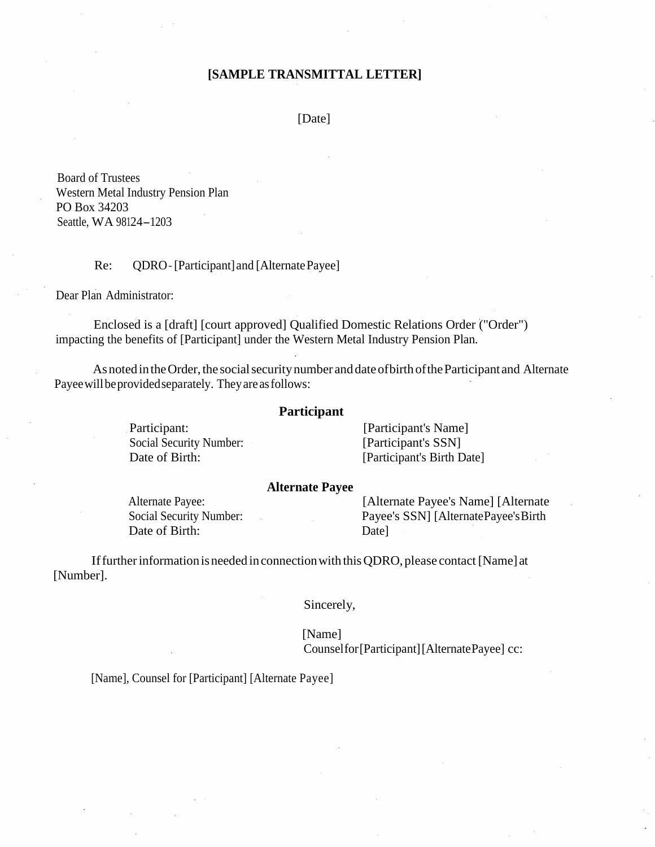## **[SAMPLE TRANSMITTAL LETTER]**

[Date]

Board of Trustees Western Metal Industry Pension Plan PO Box 34203 Seattle, WA 98124-1203

### Re: QDRO-[Participant] and [Alternate Payee]

Dear Plan Administrator:

Enclosed is a [draft] [court approved] Qualified Domestic Relations Order ("Order") impacting the benefits of [Participant] under the Western Metal Industry Pension Plan.

As noted in the Order, the social security number and date of birth of the Participant and Alternate Payee will be provided separately. They are as follows:

#### **Participant**

Participant: Social Security Number: Date of Birth:

[Participant's Name] [Participant's SSN] [Participant's Birth Date]

#### **Alternate Payee**

Alternate Payee: Social Security Number: Date of Birth:

[Alternate Payee's Name] [Alternate Payee's SSN] [AlternatePayee'sBirth Date]

If further information is needed in connection with this QDRO, please contact [Name] at [Number].

Sincerely,

[Name] Counselfor[Participant][AlternatePayee] cc:

[Name], Counsel for [Participant] [Alternate Payee]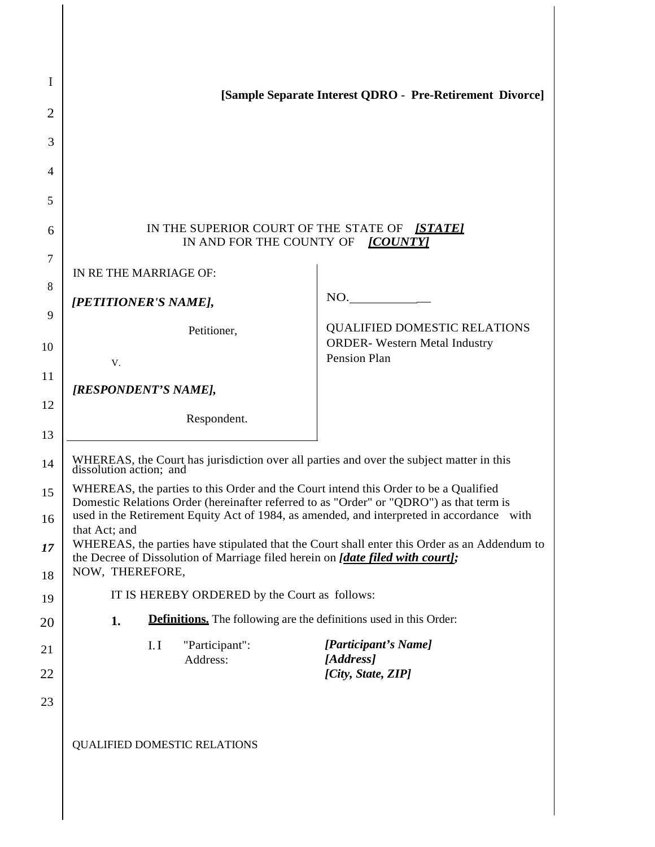| $\bf{l}$ | [Sample Separate Interest QDRO - Pre-Retirement Divorce]                                                                                                                                                                                                                        |                                                                                             |  |  |
|----------|---------------------------------------------------------------------------------------------------------------------------------------------------------------------------------------------------------------------------------------------------------------------------------|---------------------------------------------------------------------------------------------|--|--|
| 2        |                                                                                                                                                                                                                                                                                 |                                                                                             |  |  |
| 3        |                                                                                                                                                                                                                                                                                 |                                                                                             |  |  |
| 4        |                                                                                                                                                                                                                                                                                 |                                                                                             |  |  |
| 5        |                                                                                                                                                                                                                                                                                 |                                                                                             |  |  |
| 6        | IN THE SUPERIOR COURT OF THE STATE OF [STATE]<br>IN AND FOR THE COUNTY OF<br>[COUNTY]                                                                                                                                                                                           |                                                                                             |  |  |
| 7        | IN RE THE MARRIAGE OF:                                                                                                                                                                                                                                                          |                                                                                             |  |  |
| 8        |                                                                                                                                                                                                                                                                                 | NO.                                                                                         |  |  |
| 9        | [PETITIONER'S NAME],                                                                                                                                                                                                                                                            |                                                                                             |  |  |
| 10       | Petitioner,                                                                                                                                                                                                                                                                     | <b>QUALIFIED DOMESTIC RELATIONS</b><br><b>ORDER-</b> Western Metal Industry<br>Pension Plan |  |  |
| 11       | V.                                                                                                                                                                                                                                                                              |                                                                                             |  |  |
| 12       | [RESPONDENT'S NAME],                                                                                                                                                                                                                                                            |                                                                                             |  |  |
|          | Respondent.                                                                                                                                                                                                                                                                     |                                                                                             |  |  |
| 13       |                                                                                                                                                                                                                                                                                 |                                                                                             |  |  |
| 14       | WHEREAS, the Court has jurisdiction over all parties and over the subject matter in this dissolution action; and                                                                                                                                                                |                                                                                             |  |  |
| 15<br>16 | WHEREAS, the parties to this Order and the Court intend this Order to be a Qualified<br>Domestic Relations Order (hereinafter referred to as "Order" or "QDRO") as that term is<br>used in the Retirement Equity Act of 1984, as amended, and interpreted in accordance<br>with |                                                                                             |  |  |
|          | that Act; and                                                                                                                                                                                                                                                                   |                                                                                             |  |  |
| 17<br>18 | WHEREAS, the parties have stipulated that the Court shall enter this Order as an Addendum to<br>the Decree of Dissolution of Marriage filed herein on <i>[date filed with court]</i> ;<br>NOW, THEREFORE,                                                                       |                                                                                             |  |  |
| 19       | IT IS HEREBY ORDERED by the Court as follows:                                                                                                                                                                                                                                   |                                                                                             |  |  |
| 20       | <b>Definitions.</b> The following are the definitions used in this Order:<br>1.                                                                                                                                                                                                 |                                                                                             |  |  |
| 21       | I.I<br>"Participant":                                                                                                                                                                                                                                                           | [Participant's Name]                                                                        |  |  |
| 22       | Address:                                                                                                                                                                                                                                                                        | [Address]<br>[City, State, ZIP]                                                             |  |  |
|          |                                                                                                                                                                                                                                                                                 |                                                                                             |  |  |
| 23       |                                                                                                                                                                                                                                                                                 |                                                                                             |  |  |
|          | <b>QUALIFIED DOMESTIC RELATIONS</b>                                                                                                                                                                                                                                             |                                                                                             |  |  |
|          |                                                                                                                                                                                                                                                                                 |                                                                                             |  |  |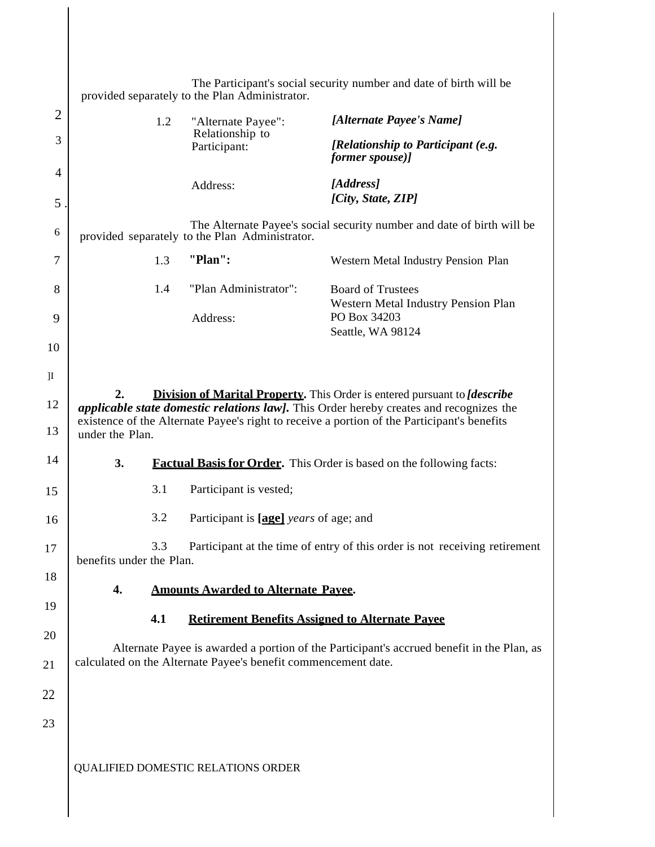|                | The Participant's social security number and date of birth will be<br>provided separately to the Plan Administrator.                                                                              |     |                                                       |                                                                                             |
|----------------|---------------------------------------------------------------------------------------------------------------------------------------------------------------------------------------------------|-----|-------------------------------------------------------|---------------------------------------------------------------------------------------------|
| $\overline{2}$ |                                                                                                                                                                                                   | 1.2 | "Alternate Payee":<br>Relationship to<br>Participant: | [Alternate Payee's Name]                                                                    |
| 3              |                                                                                                                                                                                                   |     |                                                       | [Relationship to Participant (e.g.<br><i>former spouse</i> )]                               |
| $\overline{4}$ |                                                                                                                                                                                                   |     | Address:                                              | [Address]                                                                                   |
| 5              |                                                                                                                                                                                                   |     |                                                       | [City, State, ZIP]                                                                          |
| 6              | The Alternate Payee's social security number and date of birth will be<br>provided separately to the Plan Administrator.                                                                          |     |                                                       |                                                                                             |
| 7              |                                                                                                                                                                                                   | 1.3 | "Plan":                                               | Western Metal Industry Pension Plan                                                         |
| 8              |                                                                                                                                                                                                   | 1.4 | "Plan Administrator":                                 | <b>Board of Trustees</b><br>Western Metal Industry Pension Plan                             |
| 9              |                                                                                                                                                                                                   |     | Address:                                              | PO Box 34203<br>Seattle, WA 98124                                                           |
| 10             |                                                                                                                                                                                                   |     |                                                       |                                                                                             |
| $\mathbf{I}$   |                                                                                                                                                                                                   |     |                                                       |                                                                                             |
| 12             | 2.<br><b>Division of Marital Property.</b> This Order is entered pursuant to <i>[describe</i> ]<br><i>applicable state domestic relations law]</i> . This Order hereby creates and recognizes the |     |                                                       |                                                                                             |
| 13             | under the Plan.                                                                                                                                                                                   |     |                                                       | existence of the Alternate Payee's right to receive a portion of the Participant's benefits |
| 14             | 3.                                                                                                                                                                                                |     |                                                       | <b>Factual Basis for Order.</b> This Order is based on the following facts:                 |
| 15             |                                                                                                                                                                                                   | 3.1 | Participant is vested;                                |                                                                                             |
| 16             |                                                                                                                                                                                                   | 3.2 | Participant is [age] years of age; and                |                                                                                             |
| 17             | 3.3<br>Participant at the time of entry of this order is not receiving retirement<br>benefits under the Plan.                                                                                     |     |                                                       |                                                                                             |
| 18             | <b>Amounts Awarded to Alternate Pavee.</b>                                                                                                                                                        |     |                                                       |                                                                                             |
| 19             | 4.                                                                                                                                                                                                |     |                                                       |                                                                                             |
| 20             |                                                                                                                                                                                                   | 4.1 |                                                       | <b>Retirement Benefits Assigned to Alternate Pavee</b>                                      |
| 21             | Alternate Payee is awarded a portion of the Participant's accrued benefit in the Plan, as<br>calculated on the Alternate Payee's benefit commencement date.                                       |     |                                                       |                                                                                             |
| 22             |                                                                                                                                                                                                   |     |                                                       |                                                                                             |
| 23             |                                                                                                                                                                                                   |     |                                                       |                                                                                             |
|                |                                                                                                                                                                                                   |     |                                                       |                                                                                             |
|                | QUALIFIED DOMESTIC RELATIONS ORDER                                                                                                                                                                |     |                                                       |                                                                                             |
|                |                                                                                                                                                                                                   |     |                                                       |                                                                                             |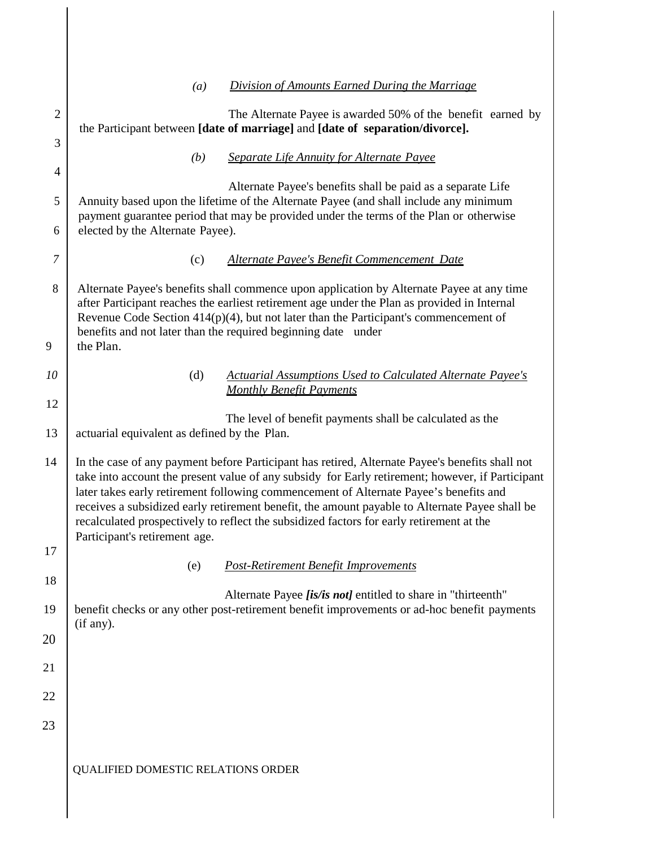|                | Division of Amounts Earned During the Marriage<br>(a)                                                                                                                                                                                                                                                                                                                                                                                                                                                                       |  |  |  |  |
|----------------|-----------------------------------------------------------------------------------------------------------------------------------------------------------------------------------------------------------------------------------------------------------------------------------------------------------------------------------------------------------------------------------------------------------------------------------------------------------------------------------------------------------------------------|--|--|--|--|
| $\overline{2}$ | The Alternate Payee is awarded 50% of the benefit earned by                                                                                                                                                                                                                                                                                                                                                                                                                                                                 |  |  |  |  |
| 3              | the Participant between [date of marriage] and [date of separation/divorce].                                                                                                                                                                                                                                                                                                                                                                                                                                                |  |  |  |  |
| $\overline{4}$ | Separate Life Annuity for Alternate Payee<br>(b)                                                                                                                                                                                                                                                                                                                                                                                                                                                                            |  |  |  |  |
| 5              | Alternate Payee's benefits shall be paid as a separate Life<br>Annuity based upon the lifetime of the Alternate Payee (and shall include any minimum<br>payment guarantee period that may be provided under the terms of the Plan or otherwise<br>elected by the Alternate Payee).                                                                                                                                                                                                                                          |  |  |  |  |
| 6              |                                                                                                                                                                                                                                                                                                                                                                                                                                                                                                                             |  |  |  |  |
| $\overline{7}$ | Alternate Payee's Benefit Commencement Date<br>(c)                                                                                                                                                                                                                                                                                                                                                                                                                                                                          |  |  |  |  |
| 8<br>9         | Alternate Payee's benefits shall commence upon application by Alternate Payee at any time<br>after Participant reaches the earliest retirement age under the Plan as provided in Internal<br>Revenue Code Section 414(p)(4), but not later than the Participant's commencement of<br>benefits and not later than the required beginning date under<br>the Plan.                                                                                                                                                             |  |  |  |  |
| 10             | (d)<br><b>Actuarial Assumptions Used to Calculated Alternate Payee's</b><br><b>Monthly Benefit Payments</b>                                                                                                                                                                                                                                                                                                                                                                                                                 |  |  |  |  |
| 12             |                                                                                                                                                                                                                                                                                                                                                                                                                                                                                                                             |  |  |  |  |
| 13             | The level of benefit payments shall be calculated as the<br>actuarial equivalent as defined by the Plan.                                                                                                                                                                                                                                                                                                                                                                                                                    |  |  |  |  |
| 14             | In the case of any payment before Participant has retired, Alternate Payee's benefits shall not<br>take into account the present value of any subsidy for Early retirement; however, if Participant<br>later takes early retirement following commencement of Alternate Payee's benefits and<br>receives a subsidized early retirement benefit, the amount payable to Alternate Payee shall be<br>recalculated prospectively to reflect the subsidized factors for early retirement at the<br>Participant's retirement age. |  |  |  |  |
| 17             | <b>Post-Retirement Benefit Improvements</b><br>(e)                                                                                                                                                                                                                                                                                                                                                                                                                                                                          |  |  |  |  |
| 18             |                                                                                                                                                                                                                                                                                                                                                                                                                                                                                                                             |  |  |  |  |
| 19             | Alternate Payee <i>[is/is not]</i> entitled to share in "thirteenth"<br>benefit checks or any other post-retirement benefit improvements or ad-hoc benefit payments                                                                                                                                                                                                                                                                                                                                                         |  |  |  |  |
| 20             | (if any).                                                                                                                                                                                                                                                                                                                                                                                                                                                                                                                   |  |  |  |  |
| 21             |                                                                                                                                                                                                                                                                                                                                                                                                                                                                                                                             |  |  |  |  |
| 22             |                                                                                                                                                                                                                                                                                                                                                                                                                                                                                                                             |  |  |  |  |
| 23             |                                                                                                                                                                                                                                                                                                                                                                                                                                                                                                                             |  |  |  |  |
|                | QUALIFIED DOMESTIC RELATIONS ORDER                                                                                                                                                                                                                                                                                                                                                                                                                                                                                          |  |  |  |  |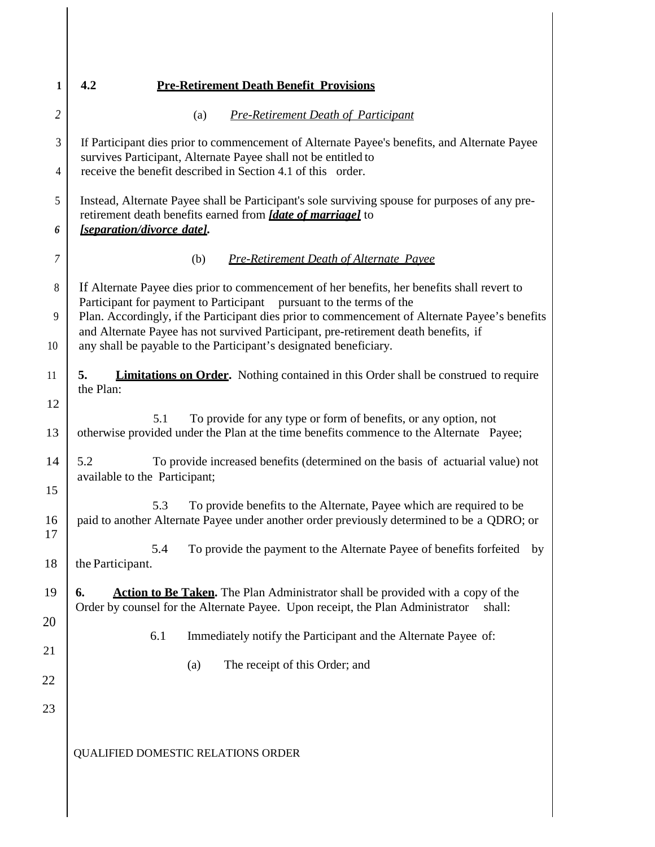| $\mathbf{1}$        | 4.2<br><b>Pre-Retirement Death Benefit Provisions</b>                                                                                                                                                                                                                                                                                                                                                                            |  |  |  |
|---------------------|----------------------------------------------------------------------------------------------------------------------------------------------------------------------------------------------------------------------------------------------------------------------------------------------------------------------------------------------------------------------------------------------------------------------------------|--|--|--|
| $\overline{2}$      | <b>Pre-Retirement Death of Participant</b><br>(a)                                                                                                                                                                                                                                                                                                                                                                                |  |  |  |
| $\overline{3}$<br>4 | If Participant dies prior to commencement of Alternate Payee's benefits, and Alternate Payee<br>survives Participant, Alternate Payee shall not be entitled to<br>receive the benefit described in Section 4.1 of this order.                                                                                                                                                                                                    |  |  |  |
| 5<br>6              | Instead, Alternate Payee shall be Participant's sole surviving spouse for purposes of any pre-<br>retirement death benefits earned from <i>[date of marriage]</i> to<br>[separation/divorce date].                                                                                                                                                                                                                               |  |  |  |
| 7                   | <b>Pre-Retirement Death of Alternate Payee</b><br>(b)                                                                                                                                                                                                                                                                                                                                                                            |  |  |  |
| 8<br>9<br>10        | If Alternate Payee dies prior to commencement of her benefits, her benefits shall revert to<br>Participant for payment to Participant pursuant to the terms of the<br>Plan. Accordingly, if the Participant dies prior to commencement of Alternate Payee's benefits<br>and Alternate Payee has not survived Participant, pre-retirement death benefits, if<br>any shall be payable to the Participant's designated beneficiary. |  |  |  |
| 11<br>12            | 5.<br><b>Limitations on Order.</b> Nothing contained in this Order shall be construed to require<br>the Plan:                                                                                                                                                                                                                                                                                                                    |  |  |  |
| 13                  | 5.1<br>To provide for any type or form of benefits, or any option, not<br>otherwise provided under the Plan at the time benefits commence to the Alternate Payee;                                                                                                                                                                                                                                                                |  |  |  |
| 14<br>15            | 5.2<br>To provide increased benefits (determined on the basis of actuarial value) not<br>available to the Participant;                                                                                                                                                                                                                                                                                                           |  |  |  |
| 16<br>17            | To provide benefits to the Alternate, Payee which are required to be<br>5.3<br>paid to another Alternate Payee under another order previously determined to be a QDRO; or                                                                                                                                                                                                                                                        |  |  |  |
| 18                  | To provide the payment to the Alternate Payee of benefits forfeited by<br>5.4<br>the Participant.                                                                                                                                                                                                                                                                                                                                |  |  |  |
| 19<br>20            | 6.<br><b>Action to Be Taken.</b> The Plan Administrator shall be provided with a copy of the<br>Order by counsel for the Alternate Payee. Upon receipt, the Plan Administrator<br>shall:                                                                                                                                                                                                                                         |  |  |  |
| 21                  | 6.1<br>Immediately notify the Participant and the Alternate Payee of:                                                                                                                                                                                                                                                                                                                                                            |  |  |  |
| 22                  | The receipt of this Order; and<br>(a)                                                                                                                                                                                                                                                                                                                                                                                            |  |  |  |
| 23                  | QUALIFIED DOMESTIC RELATIONS ORDER                                                                                                                                                                                                                                                                                                                                                                                               |  |  |  |